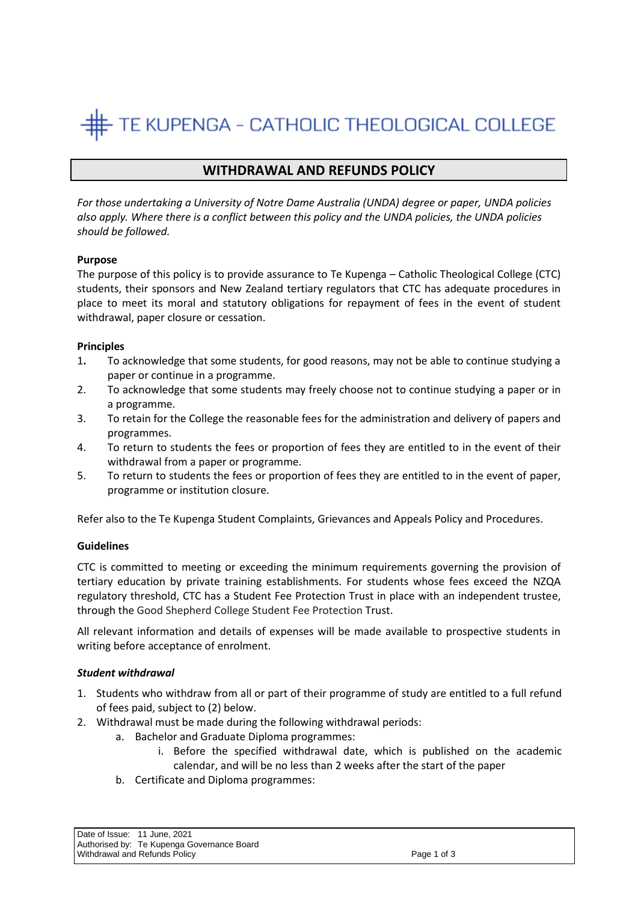# TE KUPENGA - CATHOLIC THEOLOGICAL COLLEGE

# **WITHDRAWAL AND REFUNDS POLICY**

*For those undertaking a University of Notre Dame Australia (UNDA) degree or paper, UNDA policies also apply. Where there is a conflict between this policy and the UNDA policies, the UNDA policies should be followed.*

# **Purpose**

The purpose of this policy is to provide assurance to Te Kupenga – Catholic Theological College (CTC) students, their sponsors and New Zealand tertiary regulators that CTC has adequate procedures in place to meet its moral and statutory obligations for repayment of fees in the event of student withdrawal, paper closure or cessation.

# **Principles**

- 1**.** To acknowledge that some students, for good reasons, may not be able to continue studying a paper or continue in a programme.
- 2. To acknowledge that some students may freely choose not to continue studying a paper or in a programme.
- 3. To retain for the College the reasonable fees for the administration and delivery of papers and programmes.
- 4. To return to students the fees or proportion of fees they are entitled to in the event of their withdrawal from a paper or programme.
- 5. To return to students the fees or proportion of fees they are entitled to in the event of paper, programme or institution closure.

Refer also to the Te Kupenga Student Complaints, Grievances and Appeals Policy and Procedures.

#### **Guidelines**

CTC is committed to meeting or exceeding the minimum requirements governing the provision of tertiary education by private training establishments. For students whose fees exceed the NZQA regulatory threshold, CTC has a Student Fee Protection Trust in place with an independent trustee, through the Good Shepherd College Student Fee Protection Trust.

All relevant information and details of expenses will be made available to prospective students in writing before acceptance of enrolment.

#### *Student withdrawal*

- 1. Students who withdraw from all or part of their programme of study are entitled to a full refund of fees paid, subject to (2) below.
- 2. Withdrawal must be made during the following withdrawal periods:
	- a. Bachelor and Graduate Diploma programmes:
		- i. Before the specified withdrawal date, which is published on the academic calendar, and will be no less than 2 weeks after the start of the paper
	- b. Certificate and Diploma programmes:

Date of Issue: 11 June, 2021 Authorised by: Te Kupenga Governance Board Withdrawal and Refunds Policy **Page 1 of 3** and 2011 11 and 2012 12:00 Page 1 of 3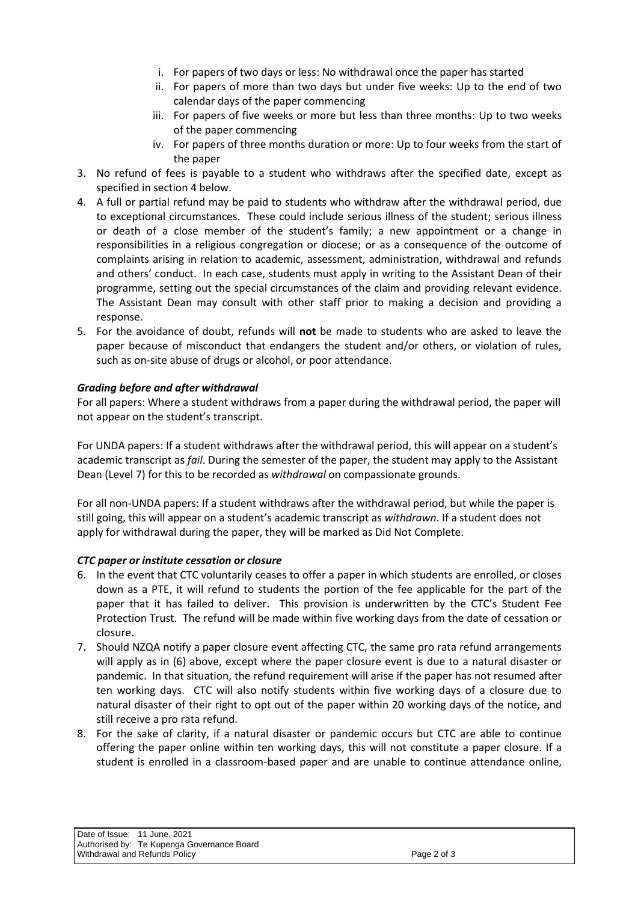- i. For papers of two days or less: No withdrawal once the paper has started
- ii. For papers of more than two days but under five weeks: Up to the end of two calendar days of the paper commencing
- iii. For papers of five weeks or more but less than three months: Up to two weeks of the paper commencing
- iv. For papers of three months duration or more: Up to four weeks from the start of the paper
- 3. No refund of fees is payable to a student who withdraws after the specified date, except as specified in section 4 below.
- 4. A full or partial refund may be paid to students who withdraw after the withdrawal period, due to exceptional circumstances. These could include serious illness of the student; serious illness or death of a close member of the student's family; a new appointment or a change in responsibilities in a religious congregation or diocese; or as a consequence of the outcome of complaints arising in relation to academic, assessment, administration, withdrawal and refunds and others' conduct. In each case, students must apply in writing to the Assistant Dean of their programme, setting out the special circumstances of the claim and providing relevant evidence. The Assistant Dean may consult with other staff prior to making a decision and providing a response.
- 5. For the avoidance of doubt, refunds will **not** be made to students who are asked to leave the paper because of misconduct that endangers the student and/or others, or violation of rules, such as on-site abuse of drugs or alcohol, or poor attendance.

# *Grading before and after withdrawal*

For all papers: Where a student withdraws from a paper during the withdrawal period, the paper will not appear on the student's transcript.

For UNDA papers: If a student withdraws after the withdrawal period, this will appear on a student's academic transcript as *fail*. During the semester of the paper, the student may apply to the Assistant Dean (Level 7) for this to be recorded as *withdrawal* on compassionate grounds.

For all non-UNDA papers: If a student withdraws after the withdrawal period, but while the paper is still going, this will appear on a student's academic transcript as *withdrawn*. If a student does not apply for withdrawal during the paper, they will be marked as Did Not Complete.

# *CTC paper or institute cessation or closure*

- 6. In the event that CTC voluntarily ceases to offer a paper in which students are enrolled, or closes down as a PTE, it will refund to students the portion of the fee applicable for the part of the paper that it has failed to deliver. This provision is underwritten by the CTC's Student Fee Protection Trust. The refund will be made within five working days from the date of cessation or closure.
- 7. Should NZQA notify a paper closure event affecting CTC, the same pro rata refund arrangements will apply as in (6) above, except where the paper closure event is due to a natural disaster or pandemic. In that situation, the refund requirement will arise if the paper has not resumed after ten working days. CTC will also notify students within five working days of a closure due to natural disaster of their right to opt out of the paper within 20 working days of the notice, and still receive a pro rata refund.
- 8. For the sake of clarity, if a natural disaster or pandemic occurs but CTC are able to continue offering the paper online within ten working days, this will not constitute a paper closure. If a student is enrolled in a classroom-based paper and are unable to continue attendance online,